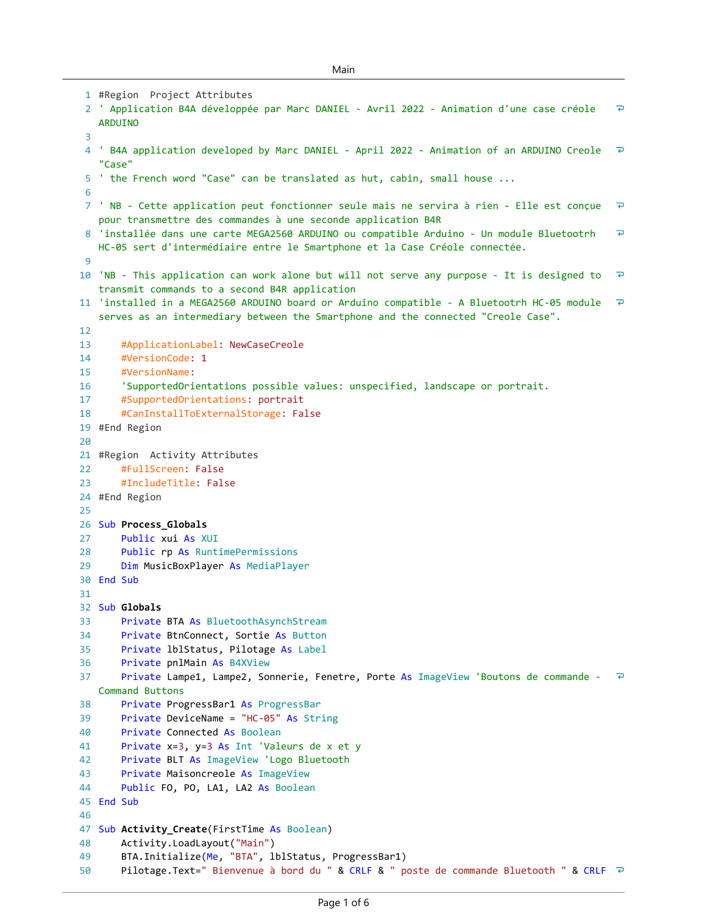```
#Region Project Attributes 
1
 ' Application B4A développée par Marc DANIEL - Avril 2022 - Animation d'une case créole 
2
                                                                                                   \overline{D}ARDUINO
 3
                                                                                                  \overline{P}' B4A application developed by Marc DANIEL - April 2022 - Animation of an ARDUINO Creole 
4
   "Case"
 5 ' the French word "Case" can be translated as hut, cabin, small house ...
 6
                                                                                                   \overline{P}' NB - Cette application peut fonctionner seule mais ne servira à rien - Elle est conçue 
7
   pour transmettre des commandes à une seconde application B4R
                                                                                                   \overline{D}'installée dans une carte MEGA2560 ARDUINO ou compatible Arduino - Un module Bluetootrh 
8
   HC-05 sert d'intermédiaire entre le Smartphone et la Case Créole connectée.
 9
                                                                                                   \overline{\bullet}'NB - This application can work alone but will not serve any purpose - It is designed to 
10
   transmit commands to a second B4R application
                                                                                                  \overline{P}'installed in a MEGA2560 ARDUINO board or Arduino compatible - A Bluetootrh HC-05 module 
11
   serves as an intermediary between the Smartphone and the connected "Creole Case".
12
13
       #ApplicationLabel: NewCaseCreole
14#VersionCode: 1
15
       #VersionName: 
       'SupportedOrientations possible values: unspecified, landscape or portrait.
16
17
       #SupportedOrientations: portrait
18
       #CanInstallToExternalStorage: False
#End Region
19
20
21 #Region Activity Attributes
       #FullScreen: False
22
23
       #IncludeTitle: False
#End Region
24
25
26 Sub Process_Globals
27
       Public xui As XUI
28
       Public rp As RuntimePermissions
29
       Dim MusicBoxPlayer As MediaPlayer
30 End Sub
31
32 Sub Globals
33
       Private BTA As BluetoothAsynchStream
34
       Private BtnConnect, Sortie As Button
35
       Private lblStatus, Pilotage As Label
       Private pnlMain As B4XView
36
37
       Private Lampe1, Lampe2, Sonnerie, Fenetre, Porte As ImageView 'Boutons de commande -
   Command Buttons
38
       Private ProgressBar1 As ProgressBar
39
       Private DeviceName = "HC-05" As String
       Private Connected As Boolean
40
41
       Private x=3, y=3 As Int 'Valeurs de x et y
\DeltaPrivate BLT As ImageView 'Logo Bluetooth
       Private Maisoncreole As ImageView
43
44
       Public FO, PO, LA1, LA2 As Boolean
45 End Sub
46
47
   Sub Activity_Create(FirstTime As Boolean)
48
       Activity.LoadLayout("Main")
49
       BTA.Initialize(Me, "BTA", lblStatus, ProgressBar1)
       Pilotage.Text=" Bienvenue à bord du " & CRLF & " poste de commande Bluetooth " & CRLF <sup>2</sup>
50
```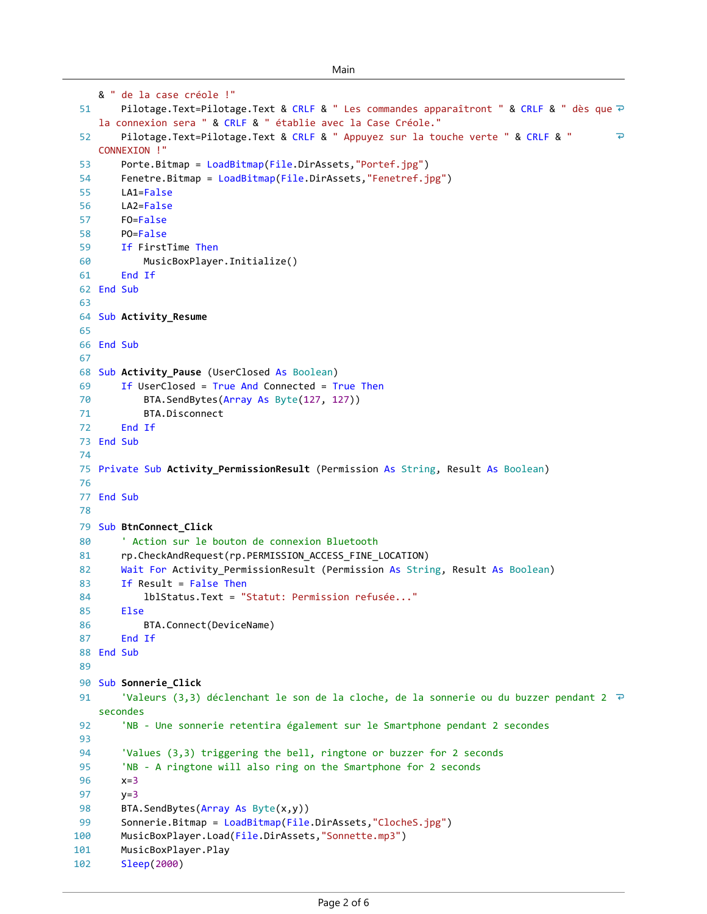```
& " de la case créole !"
        Pilotage.Text=Pilotage.Text & CRLF & " Les commandes apparaîtront " & CRLF & " dès que \overline{P}51
    la connexion sera " & CRLF & " établie avec la Case Créole."
 52
        Pilotage.Text=Pilotage.Text & CRLF & " Appuyez sur la touche verte " & CRLF & " 
                                                                                                   \overline{\bullet}CONNEXION !"
 53
        Porte.Bitmap = LoadBitmap(File.DirAssets,"Portef.jpg")
 54
        Fenetre.Bitmap = LoadBitmap(File.DirAssets,"Fenetref.jpg")
 55
        LA1=False
 56
        LA2=False
        FO=False
 57
 58
        PO=False
 59
        If FirstTime Then
 60
            MusicBoxPlayer.Initialize()
 61
        End If
 62 End Sub
63
 64 Sub Activity_Resume
65
 66 End Sub
67
 68 Sub Activity_Pause (UserClosed As Boolean)
 69
        If UserClosed = True And Connected = True Then
70
            BTA.SendBytes(Array As Byte(127, 127))
 71
            BTA.Disconnect
        End If
 72
 73 End Sub
74
 75 Private Sub Activity_PermissionResult (Permission As String, Result As Boolean)
76
 77 End Sub
78
 79 Sub BtnConnect_Click
 80
         ' Action sur le bouton de connexion Bluetooth
        rp.CheckAndRequest(rp.PERMISSION_ACCESS_FINE_LOCATION)
 81
 82
        Wait For Activity PermissionResult (Permission As String, Result As Boolean)
 83
        If Result = False Then
 84
             lblStatus.Text = "Statut: Permission refusée..."
 85
        Else
86
            BTA.Connect(DeviceName)
 87
        End If
 88 End Sub
89
 90 Sub Sonnerie_Click
         'Valeurs (3,3) déclenchant le son de la cloche, de la sonnerie ou du buzzer pendant 2 \overline{P}91
    secondes
         'NB - Une sonnerie retentira également sur le Smartphone pendant 2 secondes
 92
93
94'Values (3,3) triggering the bell, ringtone or buzzer for 2 seconds
95
         'NB - A ringtone will also ring on the Smartphone for 2 seconds
96
        x=397
        y=398
        BTA.SendBytes(Array As Byte(x,y))
99
        Sonnerie.Bitmap = LoadBitmap(File.DirAssets,"ClocheS.jpg")
        MusicBoxPlayer.Load(File.DirAssets,"Sonnette.mp3")
100
        MusicBoxPlayer.Play
101
102
        Sleep(2000)
```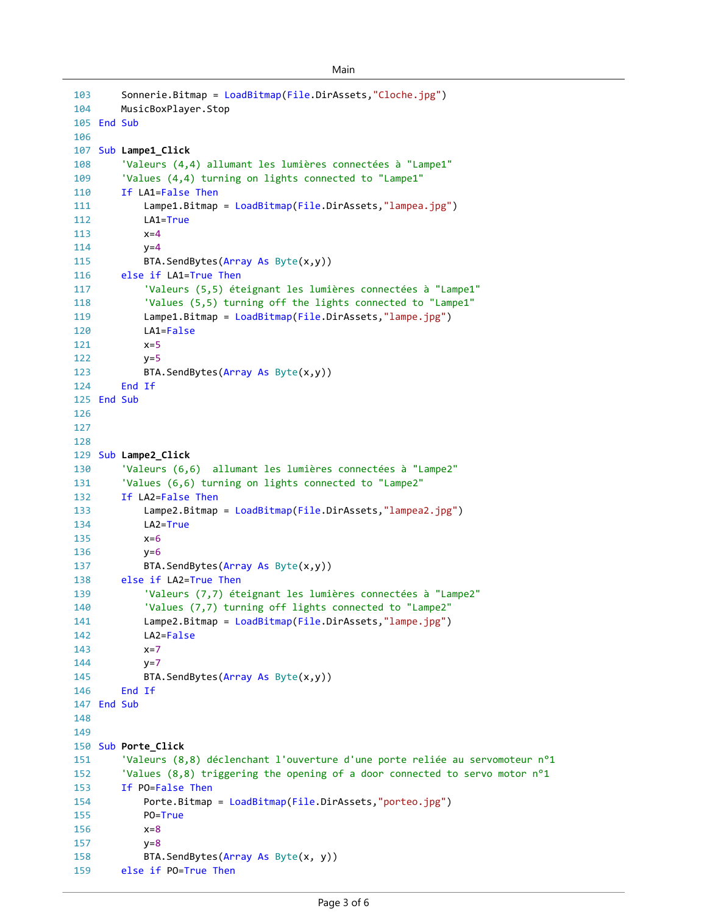```
Main
```

```
Sonnerie.Bitmap = LoadBitmap(File.DirAssets,"Cloche.jpg")
        MusicBoxPlayer.Stop
105 End Sub
107 Sub Lampe1_Click
        'Valeurs (4,4) allumant les lumières connectées à "Lampe1"
        'Values (4,4) turning on lights connected to "Lampe1"
        If LA1=False Then
            Lampe1.Bitmap = LoadBitmap(File.DirAssets,"lampea.jpg")
            LA1=True
            x=4y=4BTA.SendBytes(Array As Byte(x,y))
        else if LA1=True Then
            'Valeurs (5,5) éteignant les lumières connectées à "Lampe1"
            'Values (5,5) turning off the lights connected to "Lampe1"
            Lampe1.Bitmap = LoadBitmap(File.DirAssets,"lampe.jpg")
            LA1=False
            x=5y=5BTA.SendBytes(Array As Byte(x,y))
        End If
125 End Sub
129 Sub Lampe2_Click
        'Valeurs (6,6) allumant les lumières connectées à "Lampe2"
        'Values (6,6) turning on lights connected to "Lampe2"
        If LA2=False Then
            Lampe2.Bitmap = LoadBitmap(File.DirAssets,"lampea2.jpg")
            LA2=True
            x=6y=6BTA.SendBytes(Array As Byte(x,y))
        else if LA2=True Then
            'Valeurs (7,7) éteignant les lumières connectées à "Lampe2"
            'Values (7,7) turning off lights connected to "Lampe2"
            Lampe2.Bitmap = LoadBitmap(File.DirAssets,"lampe.jpg")
            LA2=False
            x=7y=7BTA.SendBytes(Array As Byte(x,y))
        End If
147 End Sub
150 Sub Porte_Click
        'Valeurs (8,8) déclenchant l'ouverture d'une porte reliée au servomoteur n°1
        'Values (8,8) triggering the opening of a door connected to servo motor n°1
        If PO=False Then
            Porte.Bitmap = LoadBitmap(File.DirAssets,"porteo.jpg")
            PO=True
            x=8y=8BTA.SendBytes(Array As Byte(x, y))
        else if PO=True Then
103
104
106
108
109
110
111
112
113
114
115
116
117
118
119
120
121
122
123
124
126
127
128
130
131
132
133
134
135
136
137
138
139
140
141
142
143
144
145
146
148
149
151
152
153
154
155
156
157
158
159
```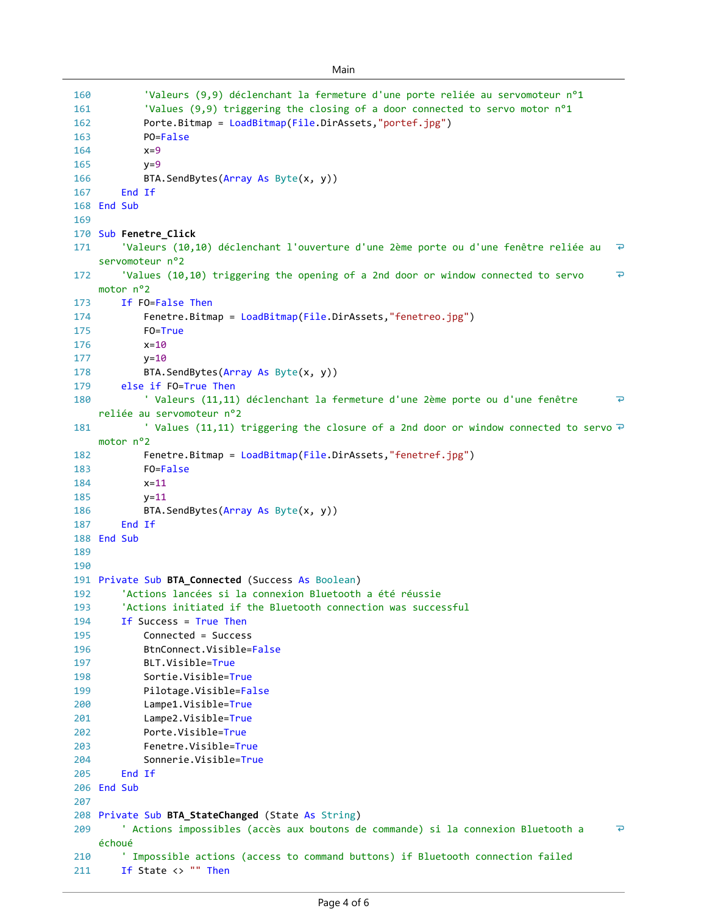```
Main
```

```
160
             'Valeurs (9,9) déclenchant la fermeture d'une porte reliée au servomoteur n°1
             'Values (9,9) triggering the closing of a door connected to servo motor n°1
161
162
             Porte.Bitmap = LoadBitmap(File.DirAssets,"portef.jpg")
163
             PO=False
             x=9164
165
             y=9166
             BTA.SendBytes(Array As Byte(x, y))
167
         End If
168 End Sub
169
170 Sub Fenetre_Click
         'Valeurs (10,10) déclenchant l'ouverture d'une 2ème porte ou d'une fenêtre reliée au 
                                                                                                     \overline{P}171
    servomoteur n°2
         'Values (10,10) triggering the opening of a 2nd door or window connected to servo 
                                                                                                     \overline{P}172
    motor n°2
173
        If FO=False Then
174
             Fenetre.Bitmap = LoadBitmap(File.DirAssets,"fenetreo.jpg")
175
             FO=True
176
             x=10
177
             y = 10178
             BTA.SendBytes(Array As Byte(x, y))
179
         else if FO=True Then
180
             ' Valeurs (11,11) déclenchant la fermeture d'une 2ème porte ou d'une fenêtre 
                                                                                                     \overline{P}reliée au servomoteur n°2
             ' Values (11,11) triggering the closure of a 2nd door or window connected to servo \overline{P}181
    motor n°2
             Fenetre.Bitmap = LoadBitmap(File.DirAssets,"fenetref.jpg")
182
             FO=False
183
184
             x=11
185
             y=11BTA.SendBytes(Array As Byte(x, y))
186
187
         End If
188 End Sub
189
190
191 Private Sub BTA_Connected (Success As Boolean)
192
         'Actions lancées si la connexion Bluetooth a été réussie
193
         'Actions initiated if the Bluetooth connection was successful
194
        If Success = True Then
195
             Connected = Success
196
             BtnConnect.Visible=False
             BLT.Visible=True
197
198
             Sortie.Visible=True
199
             Pilotage.Visible=False
200
             Lampe1.Visible=True
201
             Lampe2.Visible=True
             Porte.Visible=True
202
203
             Fenetre.Visible=True
204Sonnerie.Visible=True
205
         End If
206 End Sub
207
208 Private Sub BTA_StateChanged (State As String)
209
         ' Actions impossibles (accès aux boutons de commande) si la connexion Bluetooth a 
                                                                                                     \overline{\bullet}échoué
210
         ' Impossible actions (access to command buttons) if Bluetooth connection failed
        If State <> "" Then
211
```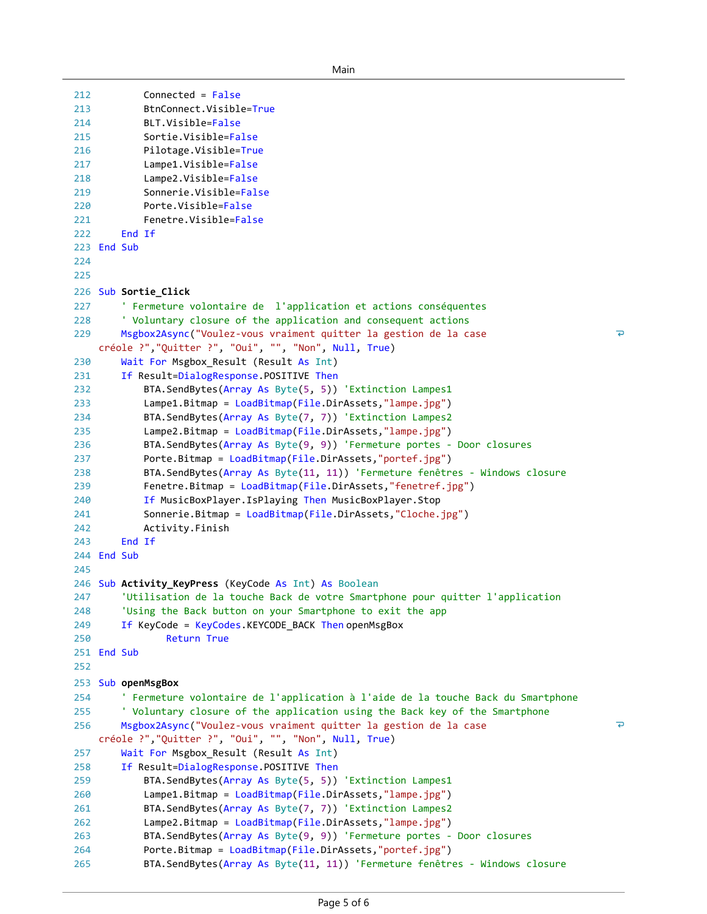```
212
            Connected = False
213
            BtnConnect.Visible=True
214
            BLT.Visible=False
215
            Sortie.Visible=False
216
            Pilotage.Visible=True
217
            Lampe1.Visible=False
218
            Lampe2.Visible=False
219
            Sonnerie.Visible=False
220
            Porte.Visible=False
221
            Fenetre.Visible=False
222
        End If
223 End Sub
224
225
226 Sub Sortie_Click
227
        ' Fermeture volontaire de l'application et actions conséquentes
228
         ' Voluntary closure of the application and consequent actions
                                                                                                  \overline{P}229
        Msgbox2Async("Voulez-vous vraiment quitter la gestion de la case 
    créole ?","Quitter ?", "Oui", "", "Non", Null, True)
230
        Wait For Msgbox_Result (Result As Int)
231
        If Result=DialogResponse.POSITIVE Then
232
            BTA.SendBytes(Array As Byte(5, 5)) 'Extinction Lampes1
233
            Lampe1.Bitmap = LoadBitmap(File.DirAssets,"lampe.jpg")
            BTA.SendBytes(Array As Byte(7, 7)) 'Extinction Lampes2
234
235
            Lampe2.Bitmap = LoadBitmap(File.DirAssets,"lampe.jpg")
            BTA.SendBytes(Array As Byte(9, 9)) 'Fermeture portes - Door closures
236
237
            Porte.Bitmap = LoadBitmap(File.DirAssets,"portef.jpg")
238
            BTA.SendBytes(Array As Byte(11, 11)) 'Fermeture fenêtres - Windows closure
239
            Fenetre.Bitmap = LoadBitmap(File.DirAssets,"fenetref.jpg")
240
            If MusicBoxPlayer.IsPlaying Then MusicBoxPlayer.Stop
241
            Sonnerie.Bitmap = LoadBitmap(File.DirAssets,"Cloche.jpg")
242
            Activity.Finish
243
        End If
244 End Sub
245
246 Sub Activity_KeyPress (KeyCode As Int) As Boolean
247
        'Utilisation de la touche Back de votre Smartphone pour quitter l'application
248
        'Using the Back button on your Smartphone to exit the app
249
        If KeyCode = KeyCodes.KEYCODE_BACK Then openMsgBox
250
                Return True
251 End Sub
252
253 Sub openMsgBox
254
        ' Fermeture volontaire de l'application à l'aide de la touche Back du Smartphone
255
         ' Voluntary closure of the application using the Back key of the Smartphone
256
        Msgbox2Async("Voulez-vous vraiment quitter la gestion de la case 
                                                                                                  \overline{P}créole ?","Quitter ?", "Oui", "", "Non", Null, True)
257
        Wait For Msgbox_Result (Result As Int)
258
        If Result=DialogResponse.POSITIVE Then
259
            BTA.SendBytes(Array As Byte(5, 5)) 'Extinction Lampes1
260
            Lampe1.Bitmap = LoadBitmap(File.DirAssets,"lampe.jpg")
            BTA.SendBytes(Array As Byte(7, 7)) 'Extinction Lampes2
261
262
            Lampe2.Bitmap = LoadBitmap(File.DirAssets,"lampe.jpg")
            BTA.SendBytes(Array As Byte(9, 9)) 'Fermeture portes - Door closures
263
            Porte.Bitmap = LoadBitmap(File.DirAssets,"portef.jpg")
264
            BTA.SendBytes(Array As Byte(11, 11)) 'Fermeture fenêtres - Windows closure
265
```